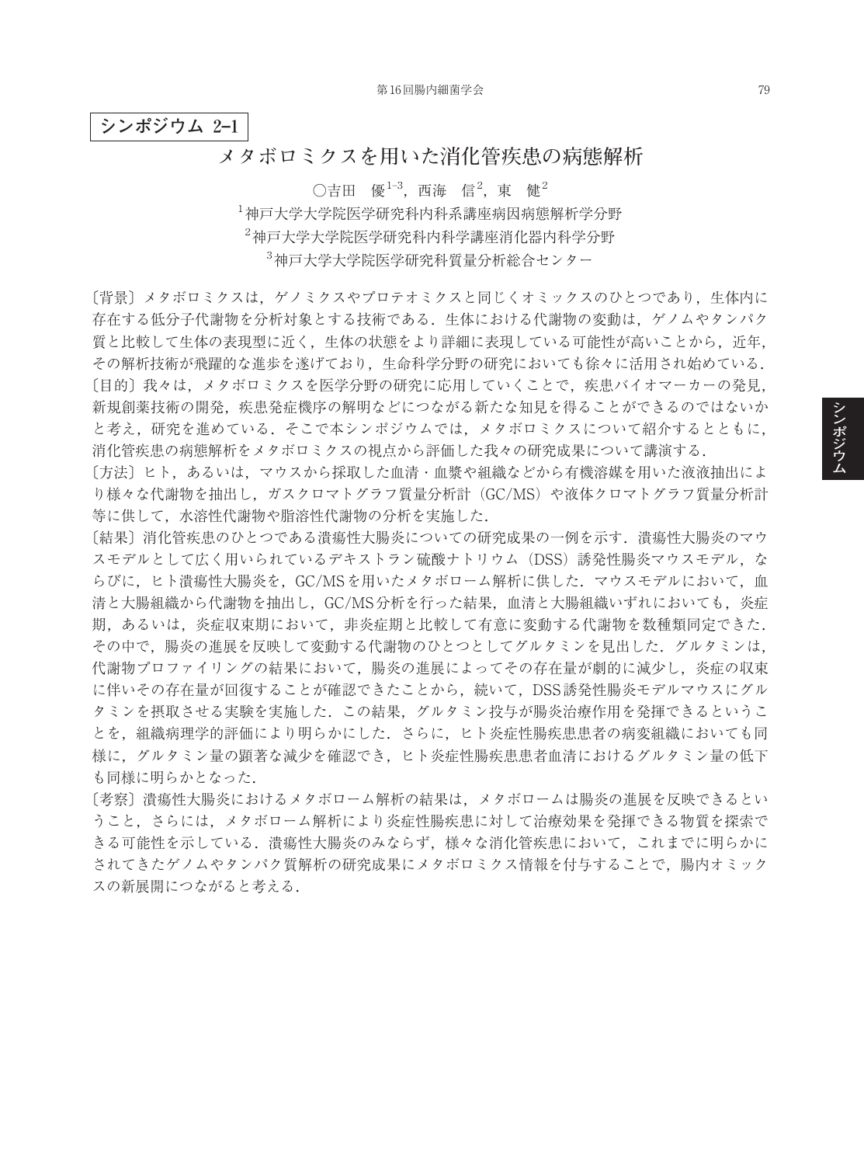**シンポジウム 2–1**

## **メタボロミクスを用いた消化管疾患の病態解析**

○吉田 優 $^{1-3}$ ,西海 信 $^{2}$ ,東 健 $^{2}$  神戸大学大学院医学研究科内科系講座病因病態解析学分野 神戸大学大学院医学研究科内科学講座消化器内科学分野 神戸大学大学院医学研究科質量分析総合センター

[背景] メタボロミクスは、ゲノミクスやプロテオミクスと同じくオミックスのひとつであり, 生体内に 存在する低分子代謝物を分析対象とする技術である.生体における代謝物の変動は,ゲノムやタンパク 質と比較して生体の表現型に近く、生体の状態をより詳細に表現している可能性が高いことから、近年, その解析技術が飛躍的な進歩を遂げており,生命科学分野の研究においても徐々に活用され始めている. 〔目的〕我々は,メタボロミクスを医学分野の研究に応用していくことで,疾患バイオマーカーの発見, 新規創薬技術の開発,疾患発症機序の解明などにつながる新たな知見を得ることができるのではないか と考え,研究を進めている.そこで本シンポジウムでは,メタボロミクスについて紹介するとともに, 消化管疾患の病態解析をメタボロミクスの視点から評価した我々の研究成果について講演する.

〔方法〕ヒト,あるいは,マウスから採取した血清・血漿や組織などから有機溶媒を用いた液液抽出によ り様々な代謝物を抽出し,ガスクロマトグラフ質量分析計(GC/MS)や液体クロマトグラフ質量分析計 等に供して,水溶性代謝物や脂溶性代謝物の分析を実施した.

〔結果〕消化管疾患のひとつである潰瘍性大腸炎についての研究成果の一例を示す.潰瘍性大腸炎のマウ スモデルとして広く用いられているデキストラン硫酸ナトリウム(DSS)誘発性腸炎マウスモデル, な らびに、ヒト潰瘍性大腸炎を、GC/MSを用いたメタボローム解析に供した. マウスモデルにおいて、血 清と大腸組織から代謝物を抽出し,GC/MS分析を行った結果,血清と大腸組織いずれにおいても,炎症 期,あるいは,炎症収束期において,非炎症期と比較して有意に変動する代謝物を数種類同定できた. その中で,腸炎の進展を反映して変動する代謝物のひとつとしてグルタミンを見出した.グルタミンは, 代謝物プロファイリングの結果において、腸炎の進展によってその存在量が劇的に減少し、炎症の収束 に伴いその存在量が回復することが確認できたことから,続いて,DSS誘発性腸炎モデルマウスにグル タミンを摂取させる実験を実施した.この結果,グルタミン投与が腸炎治療作用を発揮できるというこ とを,組織病理学的評価により明らかにした.さらに,ヒト炎症性腸疾患患者の病変組織においても同 様に,グルタミン量の顕著な減少を確認でき,ヒト炎症性腸疾患患者血清におけるグルタミン量の低下 も同様に明らかとなった.

〔考察〕潰瘍性大腸炎におけるメタボローム解析の結果は,メタボロームは腸炎の進展を反映できるとい うこと,さらには,メタボローム解析により炎症性腸疾患に対して治療効果を発揮できる物質を探索で きる可能性を示している.潰瘍性大腸炎のみならず,様々な消化管疾患において,これまでに明らかに されてきたゲノムやタンパク質解析の研究成果にメタボロミクス情報を付与することで,腸内オミック スの新展開につながると考える.